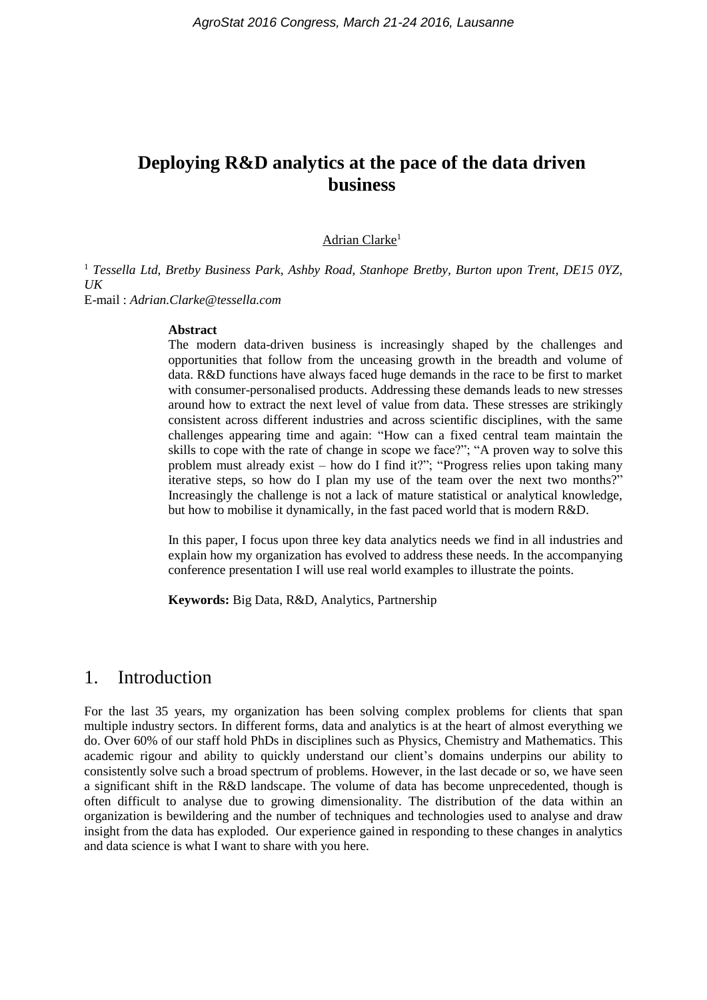# **Deploying R&D analytics at the pace of the data driven business**

#### Adrian Clarke<sup>1</sup>

<sup>1</sup> *Tessella Ltd, Bretby Business Park, Ashby Road, Stanhope Bretby, Burton upon Trent, DE15 0YZ, UK*

E-mail : *Adrian.Clarke@tessella.com*

#### **Abstract**

The modern data-driven business is increasingly shaped by the challenges and opportunities that follow from the unceasing growth in the breadth and volume of data. R&D functions have always faced huge demands in the race to be first to market with consumer-personalised products. Addressing these demands leads to new stresses around how to extract the next level of value from data. These stresses are strikingly consistent across different industries and across scientific disciplines, with the same challenges appearing time and again: "How can a fixed central team maintain the skills to cope with the rate of change in scope we face?"; "A proven way to solve this problem must already exist – how do I find it?"; "Progress relies upon taking many iterative steps, so how do I plan my use of the team over the next two months?" Increasingly the challenge is not a lack of mature statistical or analytical knowledge, but how to mobilise it dynamically, in the fast paced world that is modern R&D.

In this paper, I focus upon three key data analytics needs we find in all industries and explain how my organization has evolved to address these needs. In the accompanying conference presentation I will use real world examples to illustrate the points.

**Keywords:** Big Data, R&D, Analytics, Partnership

### 1. Introduction

For the last 35 years, my organization has been solving complex problems for clients that span multiple industry sectors. In different forms, data and analytics is at the heart of almost everything we do. Over 60% of our staff hold PhDs in disciplines such as Physics, Chemistry and Mathematics. This academic rigour and ability to quickly understand our client's domains underpins our ability to consistently solve such a broad spectrum of problems. However, in the last decade or so, we have seen a significant shift in the R&D landscape. The volume of data has become unprecedented, though is often difficult to analyse due to growing dimensionality. The distribution of the data within an organization is bewildering and the number of techniques and technologies used to analyse and draw insight from the data has exploded. Our experience gained in responding to these changes in analytics and data science is what I want to share with you here.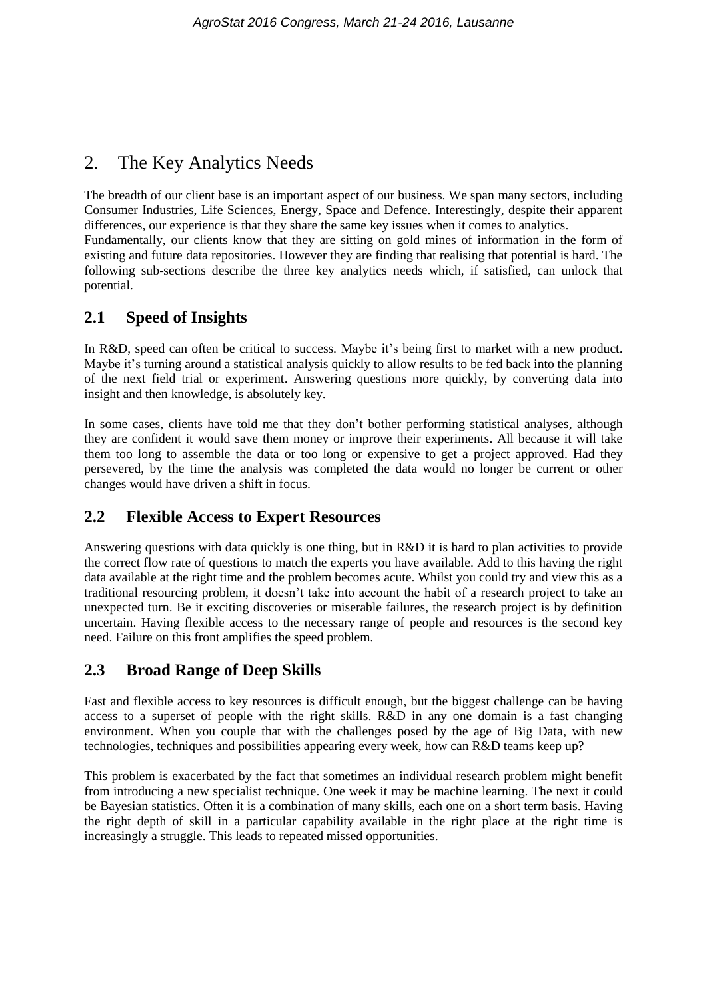# 2. The Key Analytics Needs

The breadth of our client base is an important aspect of our business. We span many sectors, including Consumer Industries, Life Sciences, Energy, Space and Defence. Interestingly, despite their apparent differences, our experience is that they share the same key issues when it comes to analytics. Fundamentally, our clients know that they are sitting on gold mines of information in the form of existing and future data repositories. However they are finding that realising that potential is hard. The following sub-sections describe the three key analytics needs which, if satisfied, can unlock that potential.

## **2.1 Speed of Insights**

In R&D, speed can often be critical to success. Maybe it's being first to market with a new product. Maybe it's turning around a statistical analysis quickly to allow results to be fed back into the planning of the next field trial or experiment. Answering questions more quickly, by converting data into insight and then knowledge, is absolutely key.

In some cases, clients have told me that they don't bother performing statistical analyses, although they are confident it would save them money or improve their experiments. All because it will take them too long to assemble the data or too long or expensive to get a project approved. Had they persevered, by the time the analysis was completed the data would no longer be current or other changes would have driven a shift in focus.

## **2.2 Flexible Access to Expert Resources**

Answering questions with data quickly is one thing, but in R&D it is hard to plan activities to provide the correct flow rate of questions to match the experts you have available. Add to this having the right data available at the right time and the problem becomes acute. Whilst you could try and view this as a traditional resourcing problem, it doesn't take into account the habit of a research project to take an unexpected turn. Be it exciting discoveries or miserable failures, the research project is by definition uncertain. Having flexible access to the necessary range of people and resources is the second key need. Failure on this front amplifies the speed problem.

## **2.3 Broad Range of Deep Skills**

Fast and flexible access to key resources is difficult enough, but the biggest challenge can be having access to a superset of people with the right skills. R&D in any one domain is a fast changing environment. When you couple that with the challenges posed by the age of Big Data, with new technologies, techniques and possibilities appearing every week, how can R&D teams keep up?

This problem is exacerbated by the fact that sometimes an individual research problem might benefit from introducing a new specialist technique. One week it may be machine learning. The next it could be Bayesian statistics. Often it is a combination of many skills, each one on a short term basis. Having the right depth of skill in a particular capability available in the right place at the right time is increasingly a struggle. This leads to repeated missed opportunities.